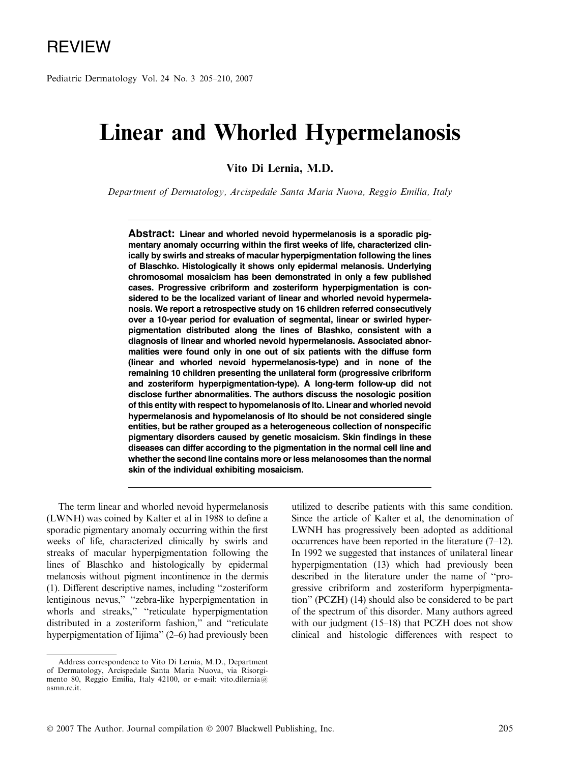Pediatric Dermatology Vol. 24 No. 3 205–210, 2007

# Linear and Whorled Hypermelanosis

Vito Di Lernia, M.D.

Department of Dermatology, Arcispedale Santa Maria Nuova, Reggio Emilia, Italy

Abstract: Linear and whorled nevoid hypermelanosis is a sporadic pigmentary anomaly occurring within the first weeks of life, characterized clinically by swirls and streaks of macular hyperpigmentation following the lines of Blaschko. Histologically it shows only epidermal melanosis. Underlying chromosomal mosaicism has been demonstrated in only a few published cases. Progressive cribriform and zosteriform hyperpigmentation is considered to be the localized variant of linear and whorled nevoid hypermelanosis. We report a retrospective study on 16 children referred consecutively over a 10-year period for evaluation of segmental, linear or swirled hyperpigmentation distributed along the lines of Blashko, consistent with a diagnosis of linear and whorled nevoid hypermelanosis. Associated abnormalities were found only in one out of six patients with the diffuse form (linear and whorled nevoid hypermelanosis-type) and in none of the remaining 10 children presenting the unilateral form (progressive cribriform and zosteriform hyperpigmentation-type). A long-term follow-up did not disclose further abnormalities. The authors discuss the nosologic position of this entity with respect to hypomelanosis of Ito. Linear and whorled nevoid hypermelanosis and hypomelanosis of Ito should be not considered single entities, but be rather grouped as a heterogeneous collection of nonspecific pigmentary disorders caused by genetic mosaicism. Skin findings in these diseases can differ according to the pigmentation in the normal cell line and whether the second line contains more or less melanosomes than the normal skin of the individual exhibiting mosaicism.

The term linear and whorled nevoid hypermelanosis (LWNH) was coined by Kalter et al in 1988 to define a sporadic pigmentary anomaly occurring within the first weeks of life, characterized clinically by swirls and streaks of macular hyperpigmentation following the lines of Blaschko and histologically by epidermal melanosis without pigment incontinence in the dermis (1). Different descriptive names, including ''zosteriform lentiginous nevus,'' ''zebra-like hyperpigmentation in whorls and streaks," "reticulate hyperpigmentation distributed in a zosteriform fashion,'' and ''reticulate hyperpigmentation of Iijima" (2–6) had previously been

utilized to describe patients with this same condition. Since the article of Kalter et al, the denomination of LWNH has progressively been adopted as additional occurrences have been reported in the literature (7–12). In 1992 we suggested that instances of unilateral linear hyperpigmentation (13) which had previously been described in the literature under the name of ''progressive cribriform and zosteriform hyperpigmentation'' (PCZH) (14) should also be considered to be part of the spectrum of this disorder. Many authors agreed with our judgment (15–18) that PCZH does not show clinical and histologic differences with respect to

Address correspondence to Vito Di Lernia, M.D., Department of Dermatology, Arcispedale Santa Maria Nuova, via Risorgimento 80, Reggio Emilia, Italy 42100, or e-mail: vito.dilernia@ asmn.re.it.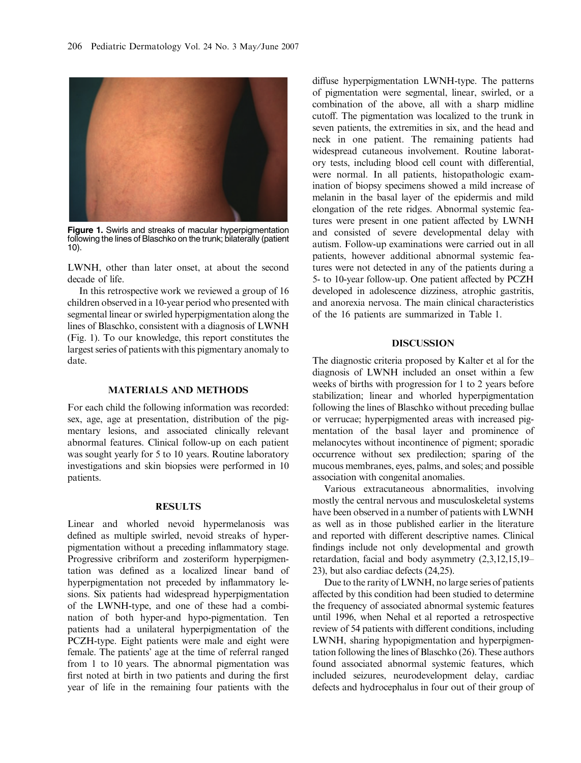

Figure 1. Swirls and streaks of macular hyperpigmentation following the lines of Blaschko on the trunk; bilaterally (patient 10).

LWNH, other than later onset, at about the second decade of life.

In this retrospective work we reviewed a group of 16 children observed in a 10-year period who presented with segmental linear or swirled hyperpigmentation along the lines of Blaschko, consistent with a diagnosis of LWNH (Fig. 1). To our knowledge, this report constitutes the largest series of patients with this pigmentary anomaly to date.

#### MATERIALS AND METHODS

For each child the following information was recorded: sex, age, age at presentation, distribution of the pigmentary lesions, and associated clinically relevant abnormal features. Clinical follow-up on each patient was sought yearly for 5 to 10 years. Routine laboratory investigations and skin biopsies were performed in 10 patients.

#### **RESULTS**

Linear and whorled nevoid hypermelanosis was defined as multiple swirled, nevoid streaks of hyperpigmentation without a preceding inflammatory stage. Progressive cribriform and zosteriform hyperpigmentation was defined as a localized linear band of hyperpigmentation not preceded by inflammatory lesions. Six patients had widespread hyperpigmentation of the LWNH-type, and one of these had a combination of both hyper-and hypo-pigmentation. Ten patients had a unilateral hyperpigmentation of the PCZH-type. Eight patients were male and eight were female. The patients' age at the time of referral ranged from 1 to 10 years. The abnormal pigmentation was first noted at birth in two patients and during the first year of life in the remaining four patients with the diffuse hyperpigmentation LWNH-type. The patterns of pigmentation were segmental, linear, swirled, or a combination of the above, all with a sharp midline cutoff. The pigmentation was localized to the trunk in seven patients, the extremities in six, and the head and neck in one patient. The remaining patients had widespread cutaneous involvement. Routine laboratory tests, including blood cell count with differential, were normal. In all patients, histopathologic examination of biopsy specimens showed a mild increase of melanin in the basal layer of the epidermis and mild elongation of the rete ridges. Abnormal systemic features were present in one patient affected by LWNH and consisted of severe developmental delay with autism. Follow-up examinations were carried out in all patients, however additional abnormal systemic features were not detected in any of the patients during a 5- to 10-year follow-up. One patient affected by PCZH developed in adolescence dizziness, atrophic gastritis, and anorexia nervosa. The main clinical characteristics of the 16 patients are summarized in Table 1.

## DISCUSSION

The diagnostic criteria proposed by Kalter et al for the diagnosis of LWNH included an onset within a few weeks of births with progression for 1 to 2 years before stabilization; linear and whorled hyperpigmentation following the lines of Blaschko without preceding bullae or verrucae; hyperpigmented areas with increased pigmentation of the basal layer and prominence of melanocytes without incontinence of pigment; sporadic occurrence without sex predilection; sparing of the mucous membranes, eyes, palms, and soles; and possible association with congenital anomalies.

Various extracutaneous abnormalities, involving mostly the central nervous and musculoskeletal systems have been observed in a number of patients with LWNH as well as in those published earlier in the literature and reported with different descriptive names. Clinical findings include not only developmental and growth retardation, facial and body asymmetry (2,3,12,15,19– 23), but also cardiac defects (24,25).

Due to the rarity of LWNH, no large series of patients affected by this condition had been studied to determine the frequency of associated abnormal systemic features until 1996, when Nehal et al reported a retrospective review of 54 patients with different conditions, including LWNH, sharing hypopigmentation and hyperpigmentation following the lines of Blaschko (26). These authors found associated abnormal systemic features, which included seizures, neurodevelopment delay, cardiac defects and hydrocephalus in four out of their group of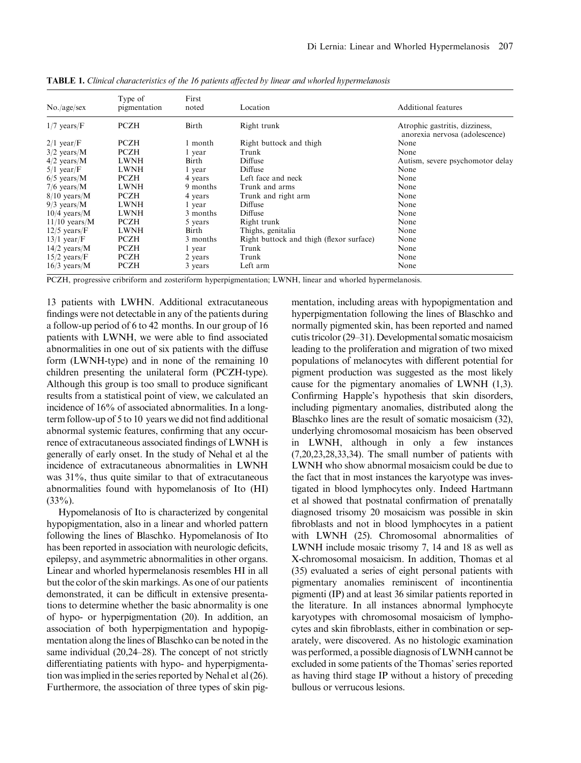| No./age/sec      | Type of<br>pigmentation | First<br>noted | Location                                 | Additional features                                              |
|------------------|-------------------------|----------------|------------------------------------------|------------------------------------------------------------------|
| $1/7$ years/ $F$ | <b>PCZH</b>             | Birth          | Right trunk                              | Atrophic gastritis, dizziness,<br>anorexia nervosa (adolescence) |
| $2/1$ year/F     | PCZH                    | 1 month        | Right buttock and thigh                  | None                                                             |
| $3/2$ years/M    | PCZH                    | l year         | Trunk                                    | None                                                             |
| $4/2$ years/M    | <b>LWNH</b>             | Birth          | Diffuse                                  | Autism, severe psychomotor delay                                 |
| $5/1$ year/F     | <b>LWNH</b>             | 1 year         | Diffuse                                  | None                                                             |
| $6/5$ years/M    | PCZH                    | 4 years        | Left face and neck                       | None                                                             |
| $7/6$ years/M    | <b>LWNH</b>             | 9 months       | Trunk and arms                           | None                                                             |
| $8/10$ years/M   | <b>PCZH</b>             | 4 years        | Trunk and right arm                      | None                                                             |
| $9/3$ years/M    | <b>LWNH</b>             | 1 year         | Diffuse                                  | None                                                             |
| $10/4$ years/M   | <b>LWNH</b>             | 3 months       | Diffuse                                  | None                                                             |
| $11/10$ years/M  | PCZH                    | 5 years        | Right trunk                              | None                                                             |
| $12/5$ years/F   | <b>LWNH</b>             | Birth          | Thighs, genitalia                        | None                                                             |
| $13/1$ year/F    | <b>PCZH</b>             | 3 months       | Right buttock and thigh (flexor surface) | None                                                             |
| $14/2$ years/M   | <b>PCZH</b>             | l year         | Trunk                                    | None                                                             |
| $15/2$ years/F   | <b>PCZH</b>             | 2 years        | Trunk                                    | None                                                             |
| $16/3$ years/M   | <b>PCZH</b>             | 3 years        | Left arm                                 | None                                                             |

TABLE 1. Clinical characteristics of the 16 patients affected by linear and whorled hypermelanosis

PCZH, progressive cribriform and zosteriform hyperpigmentation; LWNH, linear and whorled hypermelanosis.

13 patients with LWHN. Additional extracutaneous findings were not detectable in any of the patients during a follow-up period of 6 to 42 months. In our group of 16 patients with LWNH, we were able to find associated abnormalities in one out of six patients with the diffuse form (LWNH-type) and in none of the remaining 10 children presenting the unilateral form (PCZH-type). Although this group is too small to produce significant results from a statistical point of view, we calculated an incidence of 16% of associated abnormalities. In a longterm follow-up of 5 to 10 years we did not find additional abnormal systemic features, confirming that any occurrence of extracutaneous associated findings of LWNH is generally of early onset. In the study of Nehal et al the incidence of extracutaneous abnormalities in LWNH was 31%, thus quite similar to that of extracutaneous abnormalities found with hypomelanosis of Ito (HI)  $(33\%)$ .

Hypomelanosis of Ito is characterized by congenital hypopigmentation, also in a linear and whorled pattern following the lines of Blaschko. Hypomelanosis of Ito has been reported in association with neurologic deficits, epilepsy, and asymmetric abnormalities in other organs. Linear and whorled hypermelanosis resembles HI in all but the color of the skin markings. As one of our patients demonstrated, it can be difficult in extensive presentations to determine whether the basic abnormality is one of hypo- or hyperpigmentation (20). In addition, an association of both hyperpigmentation and hypopigmentation along the lines of Blaschko can be noted in the same individual (20,24–28). The concept of not strictly differentiating patients with hypo- and hyperpigmentation was implied in the series reported by Nehal et al (26). Furthermore, the association of three types of skin pigmentation, including areas with hypopigmentation and hyperpigmentation following the lines of Blaschko and normally pigmented skin, has been reported and named cutis tricolor (29–31). Developmental somatic mosaicism leading to the proliferation and migration of two mixed populations of melanocytes with different potential for pigment production was suggested as the most likely cause for the pigmentary anomalies of LWNH (1,3). Confirming Happle's hypothesis that skin disorders, including pigmentary anomalies, distributed along the Blaschko lines are the result of somatic mosaicism (32), underlying chromosomal mosaicism has been observed in LWNH, although in only a few instances (7,20,23,28,33,34). The small number of patients with LWNH who show abnormal mosaicism could be due to the fact that in most instances the karyotype was investigated in blood lymphocytes only. Indeed Hartmann et al showed that postnatal confirmation of prenatally diagnosed trisomy 20 mosaicism was possible in skin fibroblasts and not in blood lymphocytes in a patient with LWNH (25). Chromosomal abnormalities of LWNH include mosaic trisomy 7, 14 and 18 as well as X-chromosomal mosaicism. In addition, Thomas et al (35) evaluated a series of eight personal patients with pigmentary anomalies reminiscent of incontinentia pigmenti (IP) and at least 36 similar patients reported in the literature. In all instances abnormal lymphocyte karyotypes with chromosomal mosaicism of lymphocytes and skin fibroblasts, either in combination or separately, were discovered. As no histologic examination was performed, a possible diagnosis of LWNH cannot be excluded in some patients of the Thomas' series reported as having third stage IP without a history of preceding bullous or verrucous lesions.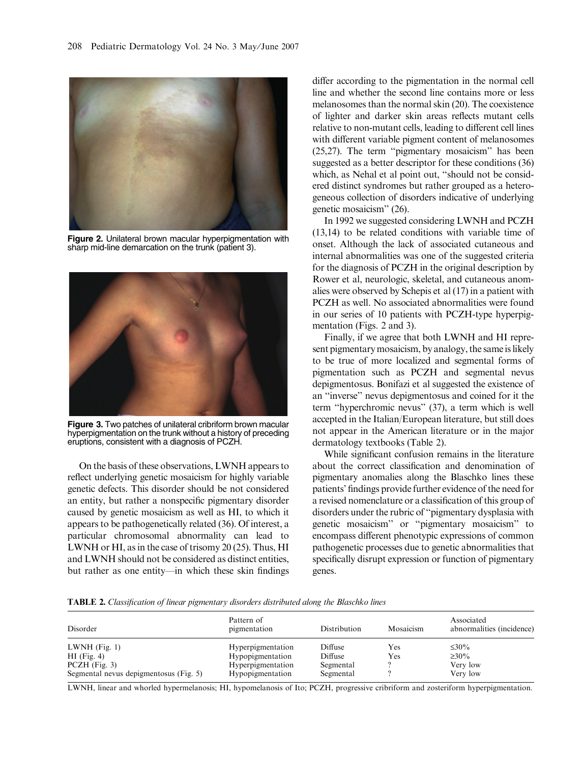

Figure 2. Unilateral brown macular hyperpigmentation with sharp mid-line demarcation on the trunk (patient 3).



Figure 3. Two patches of unilateral cribriform brown macular hyperpigmentation on the trunk without a history of preceding eruptions, consistent with a diagnosis of PCZH.

On the basis of these observations, LWNH appears to reflect underlying genetic mosaicism for highly variable genetic defects. This disorder should be not considered an entity, but rather a nonspecific pigmentary disorder caused by genetic mosaicism as well as HI, to which it appears to be pathogenetically related (36). Of interest, a particular chromosomal abnormality can lead to LWNH or HI, as in the case of trisomy 20 (25). Thus, HI and LWNH should not be considered as distinct entities, but rather as one entity—in which these skin findings differ according to the pigmentation in the normal cell line and whether the second line contains more or less melanosomes than the normal skin (20). The coexistence of lighter and darker skin areas reflects mutant cells relative to non-mutant cells, leading to different cell lines with different variable pigment content of melanosomes (25,27). The term ''pigmentary mosaicism'' has been suggested as a better descriptor for these conditions (36) which, as Nehal et al point out, ''should not be considered distinct syndromes but rather grouped as a heterogeneous collection of disorders indicative of underlying genetic mosaicism'' (26).

In 1992 we suggested considering LWNH and PCZH (13,14) to be related conditions with variable time of onset. Although the lack of associated cutaneous and internal abnormalities was one of the suggested criteria for the diagnosis of PCZH in the original description by Rower et al, neurologic, skeletal, and cutaneous anomalies were observed by Schepis et al (17) in a patient with PCZH as well. No associated abnormalities were found in our series of 10 patients with PCZH-type hyperpigmentation (Figs. 2 and 3).

Finally, if we agree that both LWNH and HI represent pigmentary mosaicism, by analogy, the same is likely to be true of more localized and segmental forms of pigmentation such as PCZH and segmental nevus depigmentosus. Bonifazi et al suggested the existence of an ''inverse'' nevus depigmentosus and coined for it the term ''hyperchromic nevus'' (37), a term which is well accepted in the Italian/European literature, but still does not appear in the American literature or in the major dermatology textbooks (Table 2).

While significant confusion remains in the literature about the correct classification and denomination of pigmentary anomalies along the Blaschko lines these patients' findings provide further evidence of the need for a revised nomenclature or a classification of this group of disorders under the rubric of ''pigmentary dysplasia with genetic mosaicism'' or ''pigmentary mosaicism'' to encompass different phenotypic expressions of common pathogenetic processes due to genetic abnormalities that specifically disrupt expression or function of pigmentary genes.

TABLE 2. Classification of linear pigmentary disorders distributed along the Blaschko lines

| Disorder                               | Pattern of<br>pigmentation | Distribution | Mosaicism | Associated<br>abnormalities (incidence) |
|----------------------------------------|----------------------------|--------------|-----------|-----------------------------------------|
| $LWNH$ (Fig. 1)                        | Hyperpigmentation          | Diffuse      | Yes       | $\leq 30\%$                             |
| $HI$ (Fig. 4)                          | Hypopigmentation           | Diffuse      | Yes       | $\geq 30\%$                             |
| $PCZH$ (Fig. 3)                        | Hyperpigmentation          | Segmental    |           | Very low                                |
| Segmental nevus depigmentosus (Fig. 5) | Hypopigmentation           | Segmental    |           | Very low                                |

LWNH, linear and whorled hypermelanosis; HI, hypomelanosis of Ito; PCZH, progressive cribriform and zosteriform hyperpigmentation.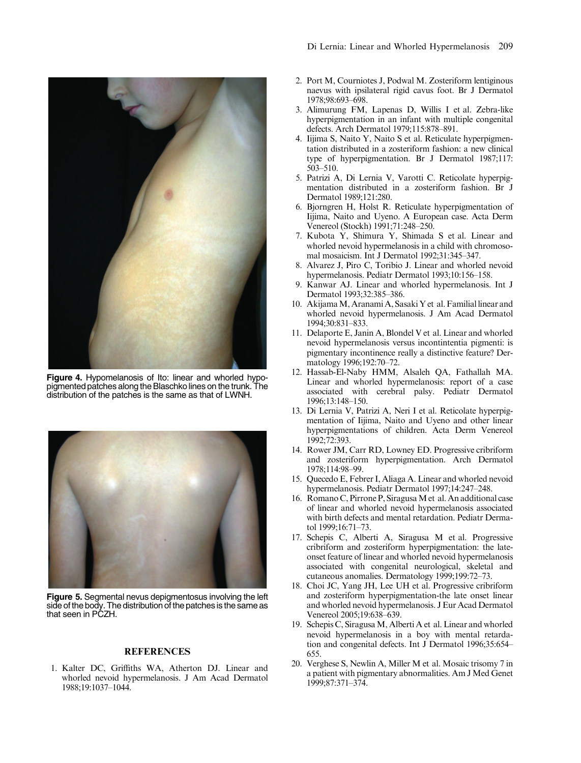

Figure 4. Hypomelanosis of Ito: linear and whorled hypopigmented patches along the Blaschko lines on the trunk. The distribution of the patches is the same as that of LWNH.



Figure 5. Segmental nevus depigmentosus involving the left side of the body. The distribution of the patches is the same as that seen in PCZH.

## **REFERENCES**

1. Kalter DC, Griffiths WA, Atherton DJ. Linear and whorled nevoid hypermelanosis. J Am Acad Dermatol 1988;19:1037–1044.

- 2. Port M, Courniotes J, Podwal M. Zosteriform lentiginous naevus with ipsilateral rigid cavus foot. Br J Dermatol 1978;98:693–698.
- 3. Alimurung FM, Lapenas D, Willis I et al. Zebra-like hyperpigmentation in an infant with multiple congenital defects. Arch Dermatol 1979;115:878–891.
- 4. Iijima S, Naito Y, Naito S et al. Reticulate hyperpigmentation distributed in a zosteriform fashion: a new clinical type of hyperpigmentation. Br J Dermatol 1987;117: 503–510.
- 5. Patrizi A, Di Lernia V, Varotti C. Reticolate hyperpigmentation distributed in a zosteriform fashion. Br J Dermatol 1989;121:280.
- 6. Bjorngren H, Holst R. Reticulate hyperpigmentation of Iijima, Naito and Uyeno. A European case. Acta Derm Venereol (Stockh) 1991;71:248–250.
- 7. Kubota Y, Shimura Y, Shimada S et al. Linear and whorled nevoid hypermelanosis in a child with chromosomal mosaicism. Int J Dermatol 1992;31:345–347.
- 8. Alvarez J, Piro C, Toribio J. Linear and whorled nevoid hypermelanosis. Pediatr Dermatol 1993;10:156–158.
- 9. Kanwar AJ. Linear and whorled hypermelanosis. Int J Dermatol 1993;32:385–386.
- 10. AkijamaM, Aranami A, Sasaki Y et al. Familial linear and whorled nevoid hypermelanosis. J Am Acad Dermatol 1994;30:831–833.
- 11. Delaporte E, Janin A, Blondel V et al. Linear and whorled nevoid hypermelanosis versus incontintentia pigmenti: is pigmentary incontinence really a distinctive feature? Dermatology 1996;192:70–72.
- 12. Hassab-El-Naby HMM, Alsaleh QA, Fathallah MA. Linear and whorled hypermelanosis: report of a case associated with cerebral palsy. Pediatr Dermatol 1996;13:148–150.
- 13. Di Lernia V, Patrizi A, Neri I et al. Reticolate hyperpigmentation of Iijima, Naito and Uyeno and other linear hyperpigmentations of children. Acta Derm Venereol 1992;72:393.
- 14. Rower JM, Carr RD, Lowney ED. Progressive cribriform and zosteriform hyperpigmentation. Arch Dermatol 1978;114:98–99.
- 15. Quecedo E, Febrer I, Aliaga A. Linear and whorled nevoid hypermelanosis. Pediatr Dermatol 1997;14:247–248.
- 16. Romano C, Pirrone P, Siragusa M et al. An additional case of linear and whorled nevoid hypermelanosis associated with birth defects and mental retardation. Pediatr Dermatol 1999;16:71–73.
- 17. Schepis C, Alberti A, Siragusa M et al. Progressive cribriform and zosteriform hyperpigmentation: the lateonset feature of linear and whorled nevoid hypermelanosis associated with congenital neurological, skeletal and cutaneous anomalies. Dermatology 1999;199:72–73.
- 18. Choi JC, Yang JH, Lee UH et al. Progressive cribriform and zosteriform hyperpigmentation-the late onset linear and whorled nevoid hypermelanosis. J Eur Acad Dermatol Venereol 2005;19:638–639.
- 19. Schepis C, SiragusaM, Alberti A et al. Linear and whorled nevoid hypermelanosis in a boy with mental retardation and congenital defects. Int J Dermatol 1996;35:654– 655.
- 20. Verghese S, Newlin A, Miller M et al. Mosaic trisomy 7 in a patient with pigmentary abnormalities. Am J Med Genet 1999;87:371–374.